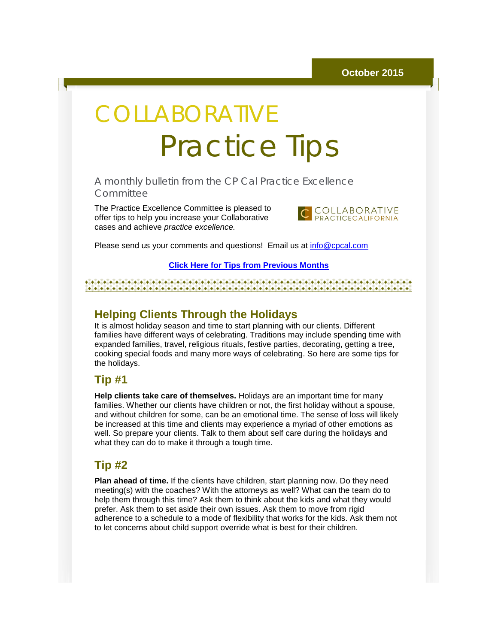# COLLABORATIVE Practice Tips

A monthly bulletin from the CP Cal Practice Excellence **Committee** 

The Practice Excellence Committee is pleased to offer tips to help you increase your Collaborative cases and achieve *practice excellence.*



Please send us your comments and questions! Email us at [info@cpcal.com](mailto:info@cpcal.com)

#### **[Click Here for Tips from Previous Months](http://r20.rs6.net/tn.jsp?e=001J5xZest5wddkQNeYOskZfINc2Ak2_hCdlEL-dS3TngYTHLwNOaUPrvrPYBONU_7Iziu4lnPEY8AjkSDoJpTuUQ9z7hCKohzXZIsKs2VaW6lU4ZrIWvlwOAiMsbEsBoqH4IJwV78LIprLs17gDvGLbZcD6Of_LZB6hTt6nGaVIEf011zKlk6V3g==)**

#### 

### **Helping Clients Through the Holidays**

It is almost holiday season and time to start planning with our clients. Different families have different ways of celebrating. Traditions may include spending time with expanded families, travel, religious rituals, festive parties, decorating, getting a tree, cooking special foods and many more ways of celebrating. So here are some tips for the holidays.

### **Tip #1**

**Help clients take care of themselves.** Holidays are an important time for many families. Whether our clients have children or not, the first holiday without a spouse, and without children for some, can be an emotional time. The sense of loss will likely be increased at this time and clients may experience a myriad of other emotions as well. So prepare your clients. Talk to them about self care during the holidays and what they can do to make it through a tough time.

### **Tip #2**

**Plan ahead of time.** If the clients have children, start planning now. Do they need meeting(s) with the coaches? With the attorneys as well? What can the team do to help them through this time? Ask them to think about the kids and what they would prefer. Ask them to set aside their own issues. Ask them to move from rigid adherence to a schedule to a mode of flexibility that works for the kids. Ask them not to let concerns about child support override what is best for their children.